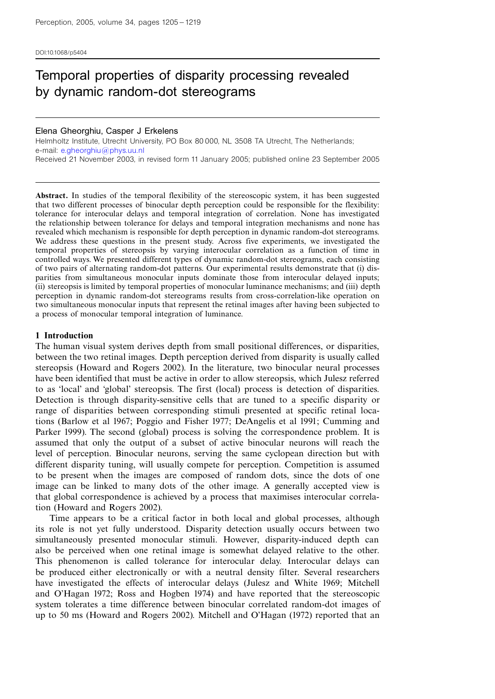DOI:10.1068/p5404

# Temporal properties of disparity processing revealed by dynamic random-dot stereograms

#### Elena Gheorghiu, Casper J Erkelens

Helmholtz Institute, Utrecht University, PO Box 80 000, NL 3508 TA Utrecht, The Netherlands; e-mail: [e.gheorghiu@phys.uu.nl](mailto:e.gheorghiu@phys.uu.nl) Received 21 November 2003, in revised form 11 January 2005; published online 23 September 2005

Abstract. In studies of the temporal flexibility of the stereoscopic system, it has been suggested that two different processes of binocular depth perception could be responsible for the flexibility: tolerance for interocular delays and temporal integration of correlation. None has investigated the relationship between tolerance for delays and temporal integration mechanisms and none has revealed which mechanism is responsible for depth perception in dynamic random-dot stereograms. We address these questions in the present study. Across five experiments, we investigated the temporal properties of stereopsis by varying interocular correlation as a function of time in controlled ways. We presented different types of dynamic random-dot stereograms, each consisting of two pairs of alternating random-dot patterns. Our experimental results demonstrate that (i) disparities from simultaneous monocular inputs dominate those from interocular delayed inputs; (ii) stereopsis is limited by temporal properties of monocular luminance mechanisms; and (iii) depth perception in dynamic random-dot stereograms results from cross-correlation-like operation on two simultaneous monocular inputs that represent the retinal images after having been subjected to a process of monocular temporal integration of luminance.

#### 1 Introduction

The human visual system derives depth from small positional differences, or disparities, between the two retinal images. Depth perception derived from disparity is usually called stereopsis (Howard and Rogers 2002). In the literature, two binocular neural processes have been identified that must be active in order to allow stereopsis, which Julesz referred to as `local' and `global' stereopsis. The first (local) process is detection of disparities. Detection is through disparity-sensitive cells that are tuned to a specific disparity or range of disparities between corresponding stimuli presented at specific retinal locations (Barlow et al 1967; Poggio and Fisher 1977; DeAngelis et al 1991; Cumming and Parker 1999). The second (global) process is solving the correspondence problem. It is assumed that only the output of a subset of active binocular neurons will reach the level of perception. Binocular neurons, serving the same cyclopean direction but with different disparity tuning, will usually compete for perception. Competition is assumed to be present when the images are composed of random dots, since the dots of one image can be linked to many dots of the other image. A generally accepted view is that global correspondence is achieved by a process that maximises interocular correlation (Howard and Rogers 2002).

Time appears to be a critical factor in both local and global processes, although its role is not yet fully understood. Disparity detection usually occurs between two simultaneously presented monocular stimuli. However, disparity-induced depth can also be perceived when one retinal image is somewhat delayed relative to the other. This phenomenon is called tolerance for interocular delay. Interocular delays can be produced either electronically or with a neutral density filter. Several researchers have investigated the effects of interocular delays (Julesz and White 1969; Mitchell and O'Hagan 1972; Ross and Hogben 1974) and have reported that the stereoscopic system tolerates a time difference between binocular correlated random-dot images of up to 50 ms (Howard and Rogers 2002). Mitchell and O'Hagan (1972) reported that an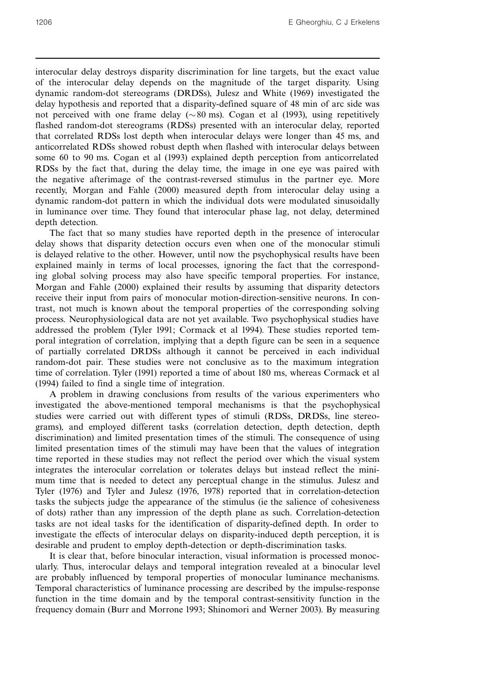interocular delay destroys disparity discrimination for line targets, but the exact value of the interocular delay depends on the magnitude of the target disparity. Using dynamic random-dot stereograms (DRDSs), Julesz and White (1969) investigated the delay hypothesis and reported that a disparity-defined square of 48 min of arc side was not perceived with one frame delay ( $\sim 80$  ms). Cogan et al (1993), using repetitively flashed random-dot stereograms (RDSs) presented with an interocular delay, reported that correlated RDSs lost depth when interocular delays were longer than 45 ms, and anticorrelated RDSs showed robust depth when flashed with interocular delays between some 60 to 90 ms. Cogan et al (1993) explained depth perception from anticorrelated RDSs by the fact that, during the delay time, the image in one eye was paired with the negative afterimage of the contrast-reversed stimulus in the partner eye. More recently, Morgan and Fahle (2000) measured depth from interocular delay using a dynamic random-dot pattern in which the individual dots were modulated sinusoidally in luminance over time. They found that interocular phase lag, not delay, determined depth detection.

The fact that so many studies have reported depth in the presence of interocular delay shows that disparity detection occurs even when one of the monocular stimuli is delayed relative to the other. However, until now the psychophysical results have been explained mainly in terms of local processes, ignoring the fact that the corresponding global solving process may also have specific temporal properties. For instance, Morgan and Fahle (2000) explained their results by assuming that disparity detectors receive their input from pairs of monocular motion-direction-sensitive neurons. In contrast, not much is known about the temporal properties of the corresponding solving process. Neurophysiological data are not yet available. Two psychophysical studies have addressed the problem (Tyler 1991; Cormack et al 1994). These studies reported temporal integration of correlation, implying that a depth figure can be seen in a sequence of partially correlated DRDSs although it cannot be perceived in each individual random-dot pair. These studies were not conclusive as to the maximum integration time of correlation. Tyler (1991) reported a time of about 180 ms, whereas Cormack et al (1994) failed to find a single time of integration.

A problem in drawing conclusions from results of the various experimenters who investigated the above-mentioned temporal mechanisms is that the psychophysical studies were carried out with different types of stimuli (RDSs, DRDSs, line stereograms), and employed different tasks (correlation detection, depth detection, depth discrimination) and limited presentation times of the stimuli. The consequence of using limited presentation times of the stimuli may have been that the values of integration time reported in these studies may not reflect the period over which the visual system integrates the interocular correlation or tolerates delays but instead reflect the minimum time that is needed to detect any perceptual change in the stimulus. Julesz and Tyler (1976) and Tyler and Julesz (1976, 1978) reported that in correlation-detection tasks the subjects judge the appearance of the stimulus (ie the salience of cohesiveness of dots) rather than any impression of the depth plane as such. Correlation-detection tasks are not ideal tasks for the identification of disparity-defined depth. In order to investigate the effects of interocular delays on disparity-induced depth perception, it is desirable and prudent to employ depth-detection or depth-discrimination tasks.

It is clear that, before binocular interaction, visual information is processed monocularly. Thus, interocular delays and temporal integration revealed at a binocular level are probably influenced by temporal properties of monocular luminance mechanisms. Temporal characteristics of luminance processing are described by the impulse-response function in the time domain and by the temporal contrast-sensitivity function in the frequency domain (Burr and Morrone 1993; Shinomori and Werner 2003). By measuring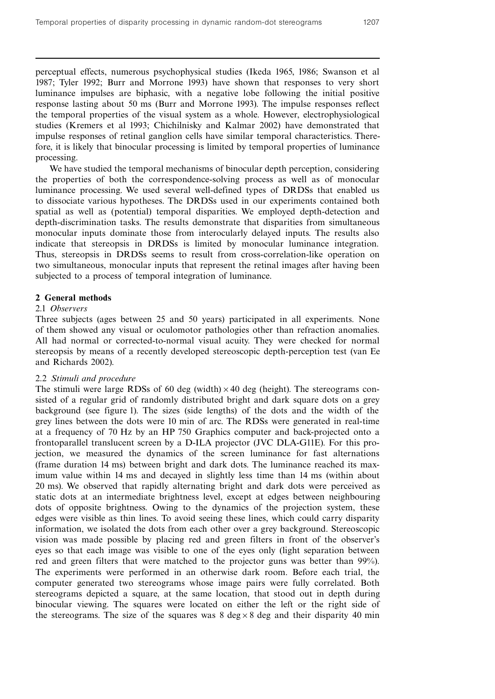perceptual effects, numerous psychophysical studies (Ikeda 1965, 1986; Swanson et al 1987; Tyler 1992; Burr and Morrone 1993) have shown that responses to very short luminance impulses are biphasic, with a negative lobe following the initial positive response lasting about 50 ms (Burr and Morrone 1993). The impulse responses reflect the temporal properties of the visual system as a whole. However, electrophysiological studies (Kremers et al 1993; Chichilnisky and Kalmar 2002) have demonstrated that impulse responses of retinal ganglion cells have similar temporal characteristics. Therefore, it is likely that binocular processing is limited by temporal properties of luminance processing.

We have studied the temporal mechanisms of binocular depth perception, considering the properties of both the correspondence-solving process as well as of monocular luminance processing. We used several well-defined types of DRDSs that enabled us to dissociate various hypotheses. The DRDSs used in our experiments contained both spatial as well as (potential) temporal disparities. We employed depth-detection and depth-discrimination tasks. The results demonstrate that disparities from simultaneous monocular inputs dominate those from interocularly delayed inputs. The results also indicate that stereopsis in DRDSs is limited by monocular luminance integration. Thus, stereopsis in DRDSs seems to result from cross-correlation-like operation on two simultaneous, monocular inputs that represent the retinal images after having been subjected to a process of temporal integration of luminance.

# 2 General methods

# 2.1 Observers

Three subjects (ages between 25 and 50 years) participated in all experiments. None of them showed any visual or oculomotor pathologies other than refraction anomalies. All had normal or corrected-to-normal visual acuity. They were checked for normal stereopsis by means of a recently developed stereoscopic depth-perception test (van Ee and Richards 2002).

# 2.2 Stimuli and procedure

The stimuli were large RDSs of 60 deg (width) $\times$ 40 deg (height). The stereograms consisted of a regular grid of randomly distributed bright and dark square dots on a grey background (see figure 1). The sizes (side lengths) of the dots and the width of the grey lines between the dots were 10 min of arc. The RDSs were generated in real-time at a frequency of 70 Hz by an HP 750 Graphics computer and back-projected onto a frontoparallel translucent screen by a D-ILA projector (JVC DLA-G11E). For this projection, we measured the dynamics of the screen luminance for fast alternations (frame duration 14 ms) between bright and dark dots. The luminance reached its maximum value within 14 ms and decayed in slightly less time than 14 ms (within about 20 ms). We observed that rapidly alternating bright and dark dots were perceived as static dots at an intermediate brightness level, except at edges between neighbouring dots of opposite brightness. Owing to the dynamics of the projection system, these edges were visible as thin lines. To avoid seeing these lines, which could carry disparity information, we isolated the dots from each other over a grey background. Stereoscopic vision was made possible by placing red and green filters in front of the observer's eyes so that each image was visible to one of the eyes only (light separation between red and green filters that were matched to the projector guns was better than 99%). The experiments were performed in an otherwise dark room. Before each trial, the computer generated two stereograms whose image pairs were fully correlated. Both stereograms depicted a square, at the same location, that stood out in depth during binocular viewing. The squares were located on either the left or the right side of the stereograms. The size of the squares was 8 deg  $\times$  8 deg and their disparity 40 min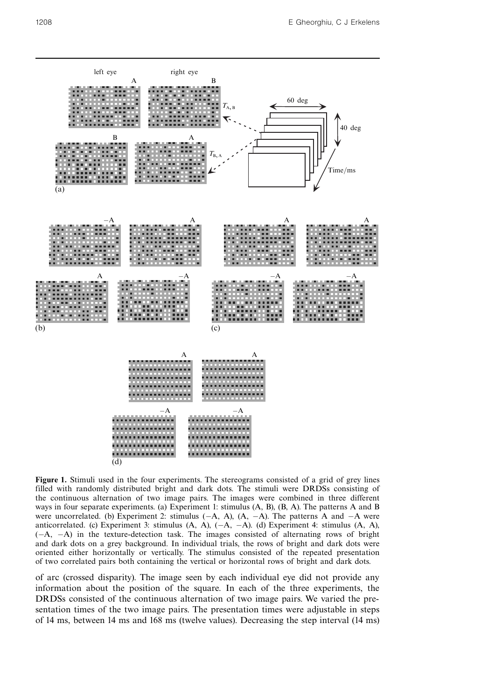

Figure 1. Stimuli used in the four experiments. The stereograms consisted of a grid of grey lines filled with randomly distributed bright and dark dots. The stimuli were DRDSs consisting of the continuous alternation of two image pairs. The images were combined in three different ways in four separate experiments. (a) Experiment 1: stimulus (A, B), (B, A). The patterns A and B were uncorrelated. (b) Experiment 2: stimulus  $(-A, A)$ ,  $(A, -A)$ . The patterns A and  $-A$  were anticorrelated. (c) Experiment 3: stimulus  $(A, A)$ ,  $(-A, -A)$ . (d) Experiment 4: stimulus  $(A, A)$ ,  $(-A, -A)$  in the texture-detection task. The images consisted of alternating rows of bright and dark dots on a grey background. In individual trials, the rows of bright and dark dots were oriented either horizontally or vertically. The stimulus consisted of the repeated presentation of two correlated pairs both containing the vertical or horizontal rows of bright and dark dots.

of arc (crossed disparity). The image seen by each individual eye did not provide any information about the position of the square. In each of the three experiments, the DRDSs consisted of the continuous alternation of two image pairs. We varied the presentation times of the two image pairs. The presentation times were adjustable in steps of 14 ms, between 14 ms and 168 ms (twelve values). Decreasing the step interval (14 ms)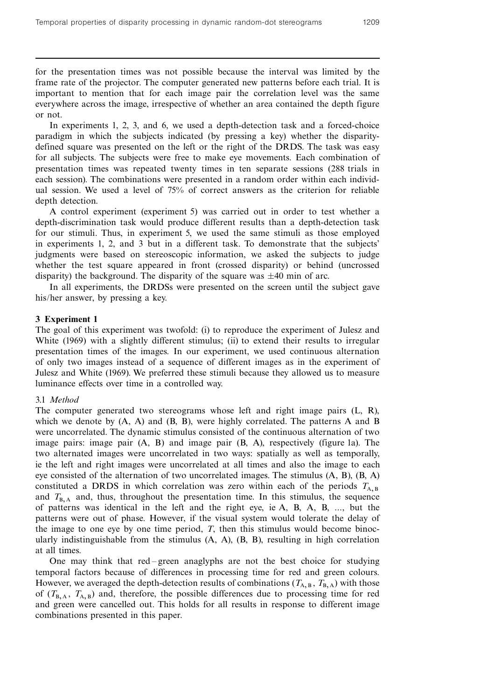for the presentation times was not possible because the interval was limited by the frame rate of the projector. The computer generated new patterns before each trial. It is important to mention that for each image pair the correlation level was the same everywhere across the image, irrespective of whether an area contained the depth figure or not.

In experiments 1, 2, 3, and 6, we used a depth-detection task and a forced-choice paradigm in which the subjects indicated (by pressing a key) whether the disparitydefined square was presented on the left or the right of the DRDS. The task was easy for all subjects. The subjects were free to make eye movements. Each combination of presentation times was repeated twenty times in ten separate sessions (288 trials in each session). The combinations were presented in a random order within each individual session. We used a level of 75% of correct answers as the criterion for reliable depth detection.

A control experiment (experiment 5) was carried out in order to test whether a depth-discrimination task would produce different results than a depth-detection task for our stimuli. Thus, in experiment 5, we used the same stimuli as those employed in experiments 1, 2, and 3 but in a different task. To demonstrate that the subjects' judgments were based on stereoscopic information, we asked the subjects to judge whether the test square appeared in front (crossed disparity) or behind (uncrossed disparity) the background. The disparity of the square was  $\pm 40$  min of arc.

In all experiments, the DRDSs were presented on the screen until the subject gave his/her answer, by pressing a key.

# 3 Experiment 1

The goal of this experiment was twofold: (i) to reproduce the experiment of Julesz and White (1969) with a slightly different stimulus; (ii) to extend their results to irregular presentation times of the images. In our experiment, we used continuous alternation of only two images instead of a sequence of different images as in the experiment of Julesz and White (1969). We preferred these stimuli because they allowed us to measure luminance effects over time in a controlled way.

#### 3.1 Method

The computer generated two stereograms whose left and right image pairs (L, R), which we denote by  $(A, A)$  and  $(B, B)$ , were highly correlated. The patterns A and B were uncorrelated. The dynamic stimulus consisted of the continuous alternation of two image pairs: image pair (A, B) and image pair (B, A), respectively (figure 1a). The two alternated images were uncorrelated in two ways: spatially as well as temporally, ie the left and right images were uncorrelated at all times and also the image to each eye consisted of the alternation of two uncorrelated images. The stimulus (A, B), (B, A) constituted a DRDS in which correlation was zero within each of the periods  $T_{AB}$ and  $T_{\text{B,A}}$  and, thus, throughout the presentation time. In this stimulus, the sequence of patterns was identical in the left and the right eye, ie A, B, A, B, ..., but the patterns were out of phase. However, if the visual system would tolerate the delay of the image to one eye by one time period,  $T$ , then this stimulus would become binocularly indistinguishable from the stimulus  $(A, A)$ ,  $(B, B)$ , resulting in high correlation at all times.

One may think that  $red$  -green anaglyphs are not the best choice for studying temporal factors because of differences in processing time for red and green colours. However, we averaged the depth-detection results of combinations ( $T_{A,B}$ ,  $T_{B,A}$ ) with those of  $(T_{\rm B,A}, T_{\rm A,B})$  and, therefore, the possible differences due to processing time for red and green were cancelled out. This holds for all results in response to different image combinations presented in this paper.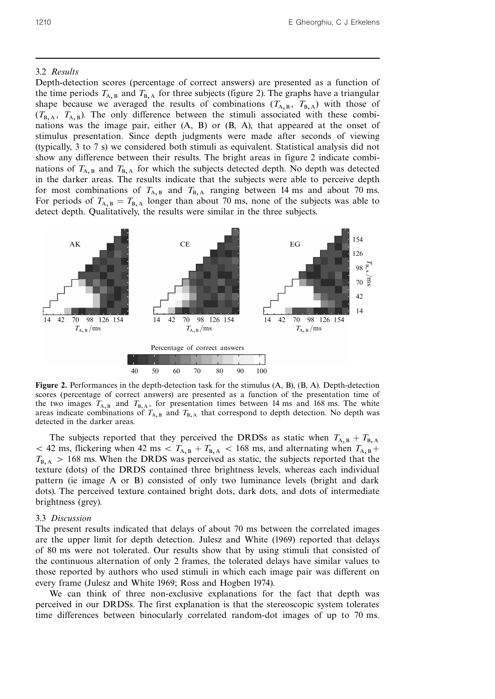#### 3.2 Results

Depth-detection scores (percentage of correct answers) are presented as a function of the time periods  $T_{A,B}$  and  $T_{B,A}$  for three subjects (figure 2). The graphs have a triangular shape because we averaged the results of combinations  $(T_{A,B}, T_{B,A})$  with those of  $(T_{\rm B.A}, T_{\rm A.B})$ . The only difference between the stimuli associated with these combinations was the image pair, either (A, B) or (B, A), that appeared at the onset of stimulus presentation. Since depth judgments were made after seconds of viewing (typically, 3 to 7 s) we considered both stimuli as equivalent. Statistical analysis did not show any difference between their results. The bright areas in figure 2 indicate combinations of  $T_{A,B}$  and  $T_{B,A}$  for which the subjects detected depth. No depth was detected in the darker areas. The results indicate that the subjects were able to perceive depth for most combinations of  $T_{A,B}$  and  $T_{B,A}$  ranging between 14 ms and about 70 ms. For periods of  $T_{A,B} = T_{B,A}$  longer than about 70 ms, none of the subjects was able to detect depth. Qualitatively, the results were similar in the three subjects.



Figure 2. Performances in the depth-detection task for the stimulus (A, B), (B, A). Depth-detection scores (percentage of correct answers) are presented as a function of the presentation time of the two images  $T_{A,B}$  and  $T_{B,A}$ , for presentation times between 14 ms and 168 ms. The white areas indicate combinations of  $T_{A,B}$  and  $T_{B,A}$  that correspond to depth detection. No depth was detected in the darker areas.

The subjects reported that they perceived the DRDSs as static when  $T_{A,B} + T_{B,A}$  $5 < 42$  ms, flickering when 42 ms  $5 T_{A,B} + T_{B,A} < 168$  ms, and alternating when  $T_{A,B} + T_{B,A}$  $T_{B, A} > 168$  ms. When the DRDS was perceived as static, the subjects reported that the texture (dots) of the DRDS contained three brightness levels, whereas each individual pattern (ie image A or B) consisted of only two luminance levels (bright and dark dots). The perceived texture contained bright dots, dark dots, and dots of intermediate brightness (grey).

#### 3.3 Discussion

The present results indicated that delays of about 70 ms between the correlated images are the upper limit for depth detection. Julesz and White (1969) reported that delays of 80 ms were not tolerated. Our results show that by using stimuli that consisted of the continuous alternation of only 2 frames, the tolerated delays have similar values to those reported by authors who used stimuli in which each image pair was different on every frame (Julesz and White 1969; Ross and Hogben 1974).

We can think of three non-exclusive explanations for the fact that depth was perceived in our DRDSs. The first explanation is that the stereoscopic system tolerates time differences between binocularly correlated random-dot images of up to 70 ms.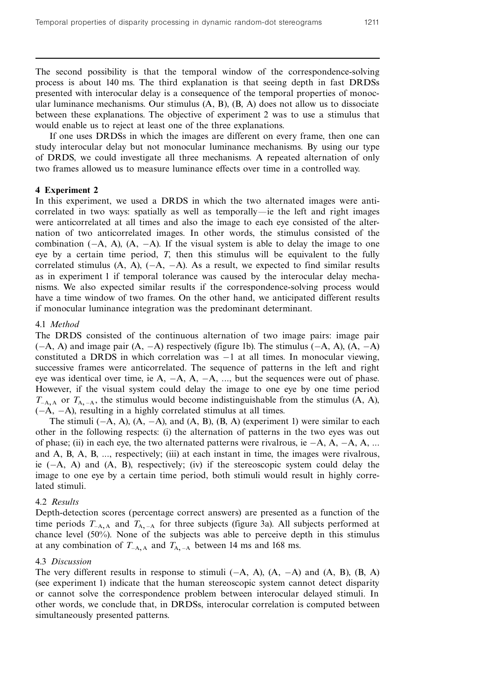The second possibility is that the temporal window of the correspondence-solving process is about 140 ms. The third explanation is that seeing depth in fast DRDSs presented with interocular delay is a consequence of the temporal properties of monocular luminance mechanisms. Our stimulus  $(A, B)$ ,  $(B, A)$  does not allow us to dissociate between these explanations. The objective of experiment 2 was to use a stimulus that would enable us to reject at least one of the three explanations.

If one uses DRDSs in which the images are different on every frame, then one can study interocular delay but not monocular luminance mechanisms. By using our type of DRDS, we could investigate all three mechanisms. A repeated alternation of only two frames allowed us to measure luminance effects over time in a controlled way.

# 4 Experiment 2

In this experiment, we used a DRDS in which the two alternated images were anticorrelated in two ways: spatially as well as temporally—ie the left and right images were anticorrelated at all times and also the image to each eye consisted of the alternation of two anticorrelated images. In other words, the stimulus consisted of the combination  $(-A, A)$ ,  $(A, -A)$ . If the visual system is able to delay the image to one eye by a certain time period, T, then this stimulus will be equivalent to the fully correlated stimulus (A, A),  $(-A, -A)$ . As a result, we expected to find similar results as in experiment 1 if temporal tolerance was caused by the interocular delay mechanisms. We also expected similar results if the correspondence-solving process would have a time window of two frames. On the other hand, we anticipated different results if monocular luminance integration was the predominant determinant.

## 4.1 Method

The DRDS consisted of the continuous alternation of two image pairs: image pair  $(-A, A)$  and image pair  $(A, -A)$  respectively (figure 1b). The stimulus  $(-A, A)$ ,  $(A, -A)$ constituted a DRDS in which correlation was  $-1$  at all times. In monocular viewing, successive frames were anticorrelated. The sequence of patterns in the left and right eye was identical over time, ie A,  $-A$ ,  $A$ ,  $-A$ , ..., but the sequences were out of phase. However, if the visual system could delay the image to one eye by one time period  $T<sub>A,A</sub>$  or  $T<sub>A,-A</sub>$ , the stimulus would become indistinguishable from the stimulus (A, A),  $(-A, -A)$ , resulting in a highly correlated stimulus at all times.

The stimuli  $(-A, A)$ ,  $(A, -A)$ , and  $(A, B)$ ,  $(B, A)$  (experiment 1) were similar to each other in the following respects: (i) the alternation of patterns in the two eyes was out of phase; (ii) in each eye, the two alternated patterns were rivalrous, ie  $-A$ ,  $A$ ,  $-A$ ,  $A$ , ... and A, B, A, B, ..., respectively; (iii) at each instant in time, the images were rivalrous, ie  $(-A, A)$  and  $(A, B)$ , respectively; (iv) if the stereoscopic system could delay the image to one eye by a certain time period, both stimuli would result in highly correlated stimuli.

#### 4.2 Results

Depth-detection scores (percentage correct answers) are presented as a function of the time periods  $T_{A, A}$  and  $T_{A, -A}$  for three subjects (figure 3a). All subjects performed at chance level (50%). None of the subjects was able to perceive depth in this stimulus at any combination of  $T_{-A, A}$  and  $T_{A, -A}$  between 14 ms and 168 ms.

#### 4.3 Discussion

The very different results in response to stimuli  $(-A, A)$ ,  $(A, -A)$  and  $(A, B)$ ,  $(B, A)$ (see experiment 1) indicate that the human stereoscopic system cannot detect disparity or cannot solve the correspondence problem between interocular delayed stimuli. In other words, we conclude that, in DRDSs, interocular correlation is computed between simultaneously presented patterns.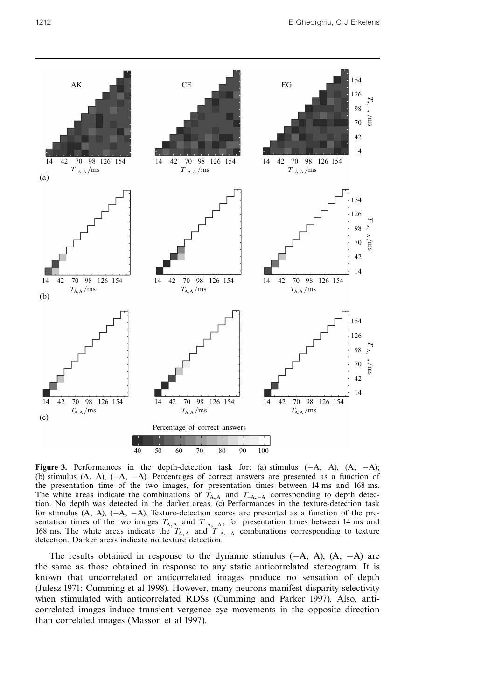

Figure 3. Performances in the depth-detection task for: (a) stimulus  $(-A, A)$ ,  $(A, -A)$ ; (b) stimulus  $(A, A)$ ,  $(-A, -A)$ . Percentages of correct answers are presented as a function of the presentation time of the two images, for presentation times between 14 ms and 168 ms. The white areas indicate the combinations of  $T_{A, A}$  and  $T_{A, -A}$  corresponding to depth detection. No depth was detected in the darker areas. (c) Performances in the texture-detection task for stimulus  $(A, A), (-A, -A)$ . Texture-detection scores are presented as a function of the presentation times of the two images  $T_{A, A}$  and  $T_{A, -A}$ , for presentation times between 14 ms and 168 ms. The white areas indicate the  $T_{A,A}$  and  $T_{-A,-A}$  combinations corresponding to texture detection. Darker areas indicate no texture detection.

The results obtained in response to the dynamic stimulus  $(-A, A)$ ,  $(A, -A)$  are the same as those obtained in response to any static anticorrelated stereogram. It is known that uncorrelated or anticorrelated images produce no sensation of depth (Julesz 1971; Cumming et al 1998). However, many neurons manifest disparity selectivity when stimulated with anticorrelated RDSs (Cumming and Parker 1997). Also, anticorrelated images induce transient vergence eye movements in the opposite direction than correlated images (Masson et al 1997).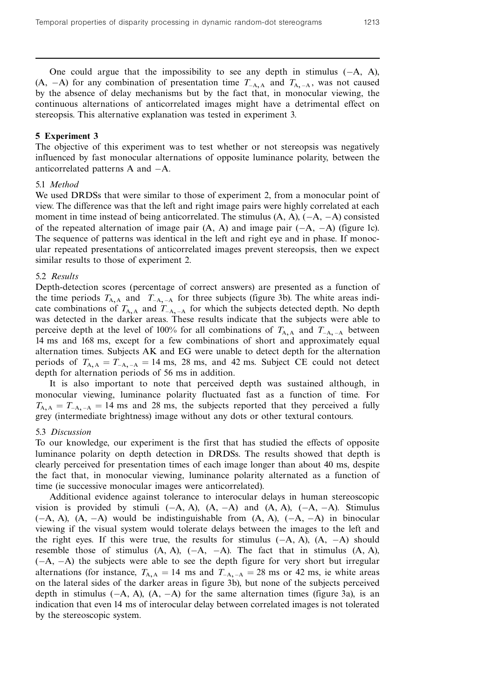One could argue that the impossibility to see any depth in stimulus  $(-A, A)$ , (A,  $-A$ ) for any combination of presentation time  $T_{A, A}$  and  $T_{A, -A}$ , was not caused by the absence of delay mechanisms but by the fact that, in monocular viewing, the continuous alternations of anticorrelated images might have a detrimental effect on stereopsis. This alternative explanation was tested in experiment 3.

# 5 Experiment 3

The objective of this experiment was to test whether or not stereopsis was negatively influenced by fast monocular alternations of opposite luminance polarity, between the anticorrelated patterns  $A$  and  $-A$ .

#### 5.1 Method

We used DRDSs that were similar to those of experiment 2, from a monocular point of view. The difference was that the left and right image pairs were highly correlated at each moment in time instead of being anticorrelated. The stimulus  $(A, A)$ ,  $(-A, -A)$  consisted of the repeated alternation of image pair  $(A, A)$  and image pair  $(-A, -A)$  (figure 1c). The sequence of patterns was identical in the left and right eye and in phase. If monocular repeated presentations of anticorrelated images prevent stereopsis, then we expect similar results to those of experiment 2.

# 5.2 Results

Depth-detection scores (percentage of correct answers) are presented as a function of the time periods  $T_{A,A}$  and  $T_{-A,-A}$  for three subjects (figure 3b). The white areas indicate combinations of  $T_{A, A}$  and  $T_{A, -A}$  for which the subjects detected depth. No depth was detected in the darker areas. These results indicate that the subjects were able to perceive depth at the level of 100% for all combinations of  $T_{A,A}$  and  $T_{-A, -A}$  between 14 ms and 168 ms, except for a few combinations of short and approximately equal alternation times. Subjects AK and EG were unable to detect depth for the alternation periods of  $T_{A, A} = T_{A, -A} = 14$  ms, 28 ms, and 42 ms. Subject CE could not detect depth for alternation periods of 56 ms in addition.

It is also important to note that perceived depth was sustained although, in monocular viewing, luminance polarity fluctuated fast as a function of time. For  $T_{A,A} = T_{A,-A} = 14$  ms and 28 ms, the subjects reported that they perceived a fully grey (intermediate brightness) image without any dots or other textural contours.

#### 5.3 Discussion

To our knowledge, our experiment is the first that has studied the effects of opposite luminance polarity on depth detection in DRDSs. The results showed that depth is clearly perceived for presentation times of each image longer than about 40 ms, despite the fact that, in monocular viewing, luminance polarity alternated as a function of time (ie successive monocular images were anticorrelated).

Additional evidence against tolerance to interocular delays in human stereoscopic vision is provided by stimuli  $(-A, A)$ ,  $(A, -A)$  and  $(A, A)$ ,  $(-A, -A)$ . Stimulus  $(-A, A), (A, -A)$  would be indistinguishable from  $(A, A), (-A, -A)$  in binocular viewing if the visual system would tolerate delays between the images to the left and the right eyes. If this were true, the results for stimulus  $(-A, A)$ ,  $(A, -A)$  should resemble those of stimulus  $(A, A), (-A, -A)$ . The fact that in stimulus  $(A, A)$ ,  $(-A, -A)$  the subjects were able to see the depth figure for very short but irregular alternations (for instance,  $T_{A,A} = 14$  ms and  $T_{A,A} = 28$  ms or 42 ms, ie white areas on the lateral sides of the darker areas in figure 3b), but none of the subjects perceived depth in stimulus  $(-A, A)$ ,  $(A, -A)$  for the same alternation times (figure 3a), is an indication that even 14 ms of interocular delay between correlated images is not tolerated by the stereoscopic system.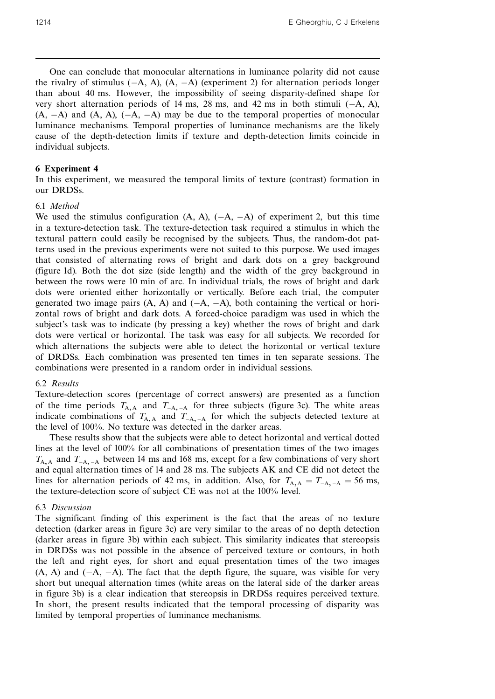One can conclude that monocular alternations in luminance polarity did not cause the rivalry of stimulus  $(-A, A)$ ,  $(A, -A)$  (experiment 2) for alternation periods longer than about 40 ms. However, the impossibility of seeing disparity-defined shape for very short alternation periods of 14 ms, 28 ms, and 42 ms in both stimuli  $(-A, A)$ ,  $(A, -A)$  and  $(A, A)$ ,  $(-A, -A)$  may be due to the temporal properties of monocular luminance mechanisms. Temporal properties of luminance mechanisms are the likely cause of the depth-detection limits if texture and depth-detection limits coincide in individual subjects.

# 6 Experiment 4

In this experiment, we measured the temporal limits of texture (contrast) formation in our DRDSs.

# 6.1 Method

We used the stimulus configuration  $(A, A)$ ,  $(-A, -A)$  of experiment 2, but this time in a texture-detection task. The texture-detection task required a stimulus in which the textural pattern could easily be recognised by the subjects. Thus, the random-dot patterns used in the previous experiments were not suited to this purpose. We used images that consisted of alternating rows of bright and dark dots on a grey background (figure 1d). Both the dot size (side length) and the width of the grey background in between the rows were 10 min of arc. In individual trials, the rows of bright and dark dots were oriented either horizontally or vertically. Before each trial, the computer generated two image pairs  $(A, A)$  and  $(-A, -A)$ , both containing the vertical or horizontal rows of bright and dark dots. A forced-choice paradigm was used in which the subject's task was to indicate (by pressing a key) whether the rows of bright and dark dots were vertical or horizontal. The task was easy for all subjects. We recorded for which alternations the subjects were able to detect the horizontal or vertical texture of DRDSs. Each combination was presented ten times in ten separate sessions. The combinations were presented in a random order in individual sessions.

# 6.2 Results

Texture-detection scores (percentage of correct answers) are presented as a function of the time periods  $T_{A, A}$  and  $T_{A, -A}$  for three subjects (figure 3c). The white areas indicate combinations of  $T_{A,A}$  and  $T_{-A,-A}$  for which the subjects detected texture at the level of 100%. No texture was detected in the darker areas.

These results show that the subjects were able to detect horizontal and vertical dotted lines at the level of 100% for all combinations of presentation times of the two images  $T_{A,A}$  and  $T_{A,A}$  between 14 ms and 168 ms, except for a few combinations of very short and equal alternation times of 14 and 28 ms. The subjects AK and CE did not detect the lines for alternation periods of 42 ms, in addition. Also, for  $T_{A, A} = T_{-A, -A} = 56$  ms, the texture-detection score of subject CE was not at the 100% level.

# 6.3 Discussion

The significant finding of this experiment is the fact that the areas of no texture detection (darker areas in figure 3c) are very similar to the areas of no depth detection (darker areas in figure 3b) within each subject. This similarity indicates that stereopsis in DRDSs was not possible in the absence of perceived texture or contours, in both the left and right eyes, for short and equal presentation times of the two images  $(A, A)$  and  $(-A, -A)$ . The fact that the depth figure, the square, was visible for very short but unequal alternation times (white areas on the lateral side of the darker areas in figure 3b) is a clear indication that stereopsis in DRDSs requires perceived texture. In short, the present results indicated that the temporal processing of disparity was limited by temporal properties of luminance mechanisms.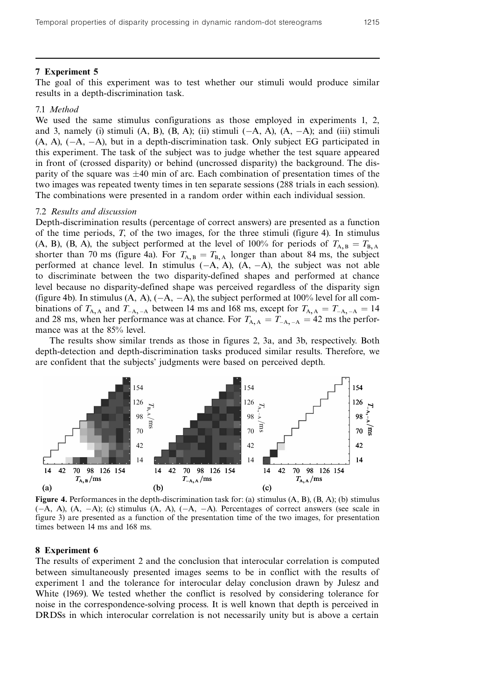#### 7 Experiment 5

The goal of this experiment was to test whether our stimuli would produce similar results in a depth-discrimination task.

### 7.1 Method

We used the same stimulus configurations as those employed in experiments 1, 2, and 3, namely (i) stimuli  $(A, B)$ ,  $(B, A)$ ; (ii) stimuli  $(-A, A)$ ,  $(A, -A)$ ; and (iii) stimuli  $(A, A), (-A, -A),$  but in a depth-discrimination task. Only subject EG participated in this experiment. The task of the subject was to judge whether the test square appeared in front of (crossed disparity) or behind (uncrossed disparity) the background. The disparity of the square was  $\pm 40$  min of arc. Each combination of presentation times of the two images was repeated twenty times in ten separate sessions (288 trials in each session). The combinations were presented in a random order within each individual session.

#### 7.2 Results and discussion

Depth-discrimination results (percentage of correct answers) are presented as a function of the time periods, T, of the two images, for the three stimuli (figure 4). In stimulus (A, B), (B, A), the subject performed at the level of 100% for periods of  $T_{A,B} = T_{B,A}$ shorter than 70 ms (figure 4a). For  $T_{A,B} = T_{B,A}$  longer than about 84 ms, the subject performed at chance level. In stimulus  $(-A, A)$ ,  $(A, -A)$ , the subject was not able to discriminate between the two disparity-defined shapes and performed at chance level because no disparity-defined shape was perceived regardless of the disparity sign (figure 4b). In stimulus  $(A, A), (-A, -A)$ , the subject performed at 100% level for all combinations of  $T_{A, A}$  and  $T_{A, -A}$  between 14 ms and 168 ms, except for  $T_{A, A} = T_{A, -A} = 14$ and 28 ms, when her performance was at chance. For  $T_{A, A} = T_{-A, -A} = 42$  ms the performance was at the 85% level.

The results show similar trends as those in figures 2, 3a, and 3b, respectively. Both depth-detection and depth-discrimination tasks produced similar results. Therefore, we are confident that the subjects' judgments were based on perceived depth.



Figure 4. Performances in the depth-discrimination task for: (a) stimulus (A, B), (B, A); (b) stimulus  $(-A, A), (A, -A);$  (c) stimulus  $(A, A), (-A, -A)$ . Percentages of correct answers (see scale in figure 3) are presented as a function of the presentation time of the two images, for presentation times between 14 ms and 168 ms.

#### 8 Experiment 6

The results of experiment 2 and the conclusion that interocular correlation is computed between simultaneously presented images seems to be in conflict with the results of experiment 1 and the tolerance for interocular delay conclusion drawn by Julesz and White (1969). We tested whether the conflict is resolved by considering tolerance for noise in the correspondence-solving process. It is well known that depth is perceived in DRDSs in which interocular correlation is not necessarily unity but is above a certain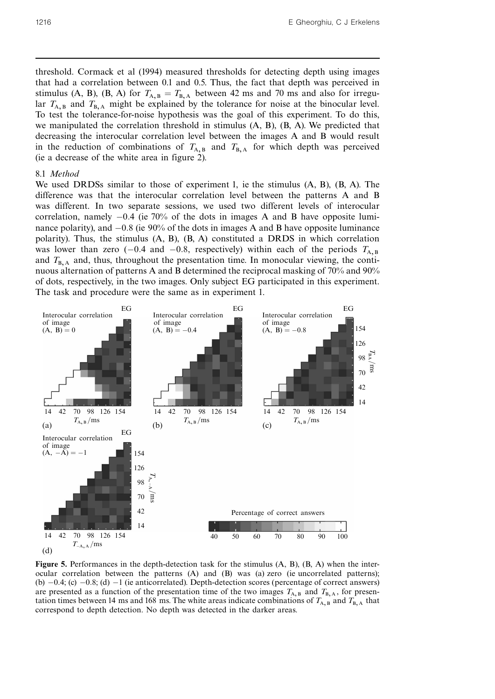threshold. Cormack et al (1994) measured thresholds for detecting depth using images that had a correlation between 0.1 and 0.5. Thus, the fact that depth was perceived in stimulus (A, B), (B, A) for  $T_{A,B} = T_{B,A}$  between 42 ms and 70 ms and also for irregular  $T_{A,B}$  and  $T_{B,A}$  might be explained by the tolerance for noise at the binocular level. To test the tolerance-for-noise hypothesis was the goal of this experiment. To do this, we manipulated the correlation threshold in stimulus  $(A, B)$ ,  $(B, A)$ . We predicted that decreasing the interocular correlation level between the images A and B would result in the reduction of combinations of  $T_{A,B}$  and  $T_{B,A}$  for which depth was perceived (ie a decrease of the white area in figure 2).

#### 8.1 Method

We used DRDSs similar to those of experiment 1, ie the stimulus (A, B), (B, A). The difference was that the interocular correlation level between the patterns A and B was different. In two separate sessions, we used two different levels of interocular correlation, namely  $-0.4$  (ie 70% of the dots in images A and B have opposite luminance polarity), and  $-0.8$  (ie 90% of the dots in images A and B have opposite luminance polarity). Thus, the stimulus (A, B), (B, A) constituted a DRDS in which correlation was lower than zero ( $-0.4$  and  $-0.8$ , respectively) within each of the periods  $T_{A,B}$ and  $T_{\text{B.A}}$  and, thus, throughout the presentation time. In monocular viewing, the continuous alternation of patterns A and B determined the reciprocal masking of 70% and 90% of dots, respectively, in the two images. Only subject EG participated in this experiment. The task and procedure were the same as in experiment 1.



Figure 5. Performances in the depth-detection task for the stimulus (A, B), (B, A) when the interocular correlation between the patterns (A) and (B) was (a) zero (ie uncorrelated patterns); (b)  $-0.4$ ; (c)  $-0.8$ ; (d)  $-1$  (ie anticorrelated). Depth-detection scores (percentage of correct answers) are presented as a function of the presentation time of the two images  $T_{A,B}$  and  $T_{B,A}$ , for presentation times between 14 ms and 168 ms. The white areas indicate combinations of  $T_{A,B}$  and  $T_{B,A}$  that correspond to depth detection. No depth was detected in the darker areas.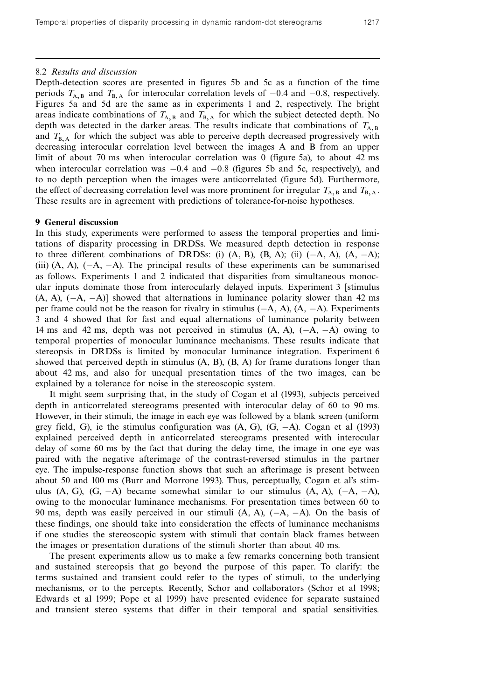# 8.2 Results and discussion

Depth-detection scores are presented in figures 5b and 5c as a function of the time periods  $T_{A,B}$  and  $T_{B,A}$  for interocular correlation levels of  $-0.4$  and  $-0.8$ , respectively. Figures 5a and 5d are the same as in experiments 1 and 2, respectively. The bright areas indicate combinations of  $T_{A,B}$  and  $T_{B,A}$  for which the subject detected depth. No depth was detected in the darker areas. The results indicate that combinations of  $T_{A,B}$ and  $T_{\text{B.A}}$  for which the subject was able to perceive depth decreased progressively with decreasing interocular correlation level between the images A and B from an upper limit of about 70 ms when interocular correlation was 0 (figure 5a), to about 42 ms when interocular correlation was  $-0.4$  and  $-0.8$  (figures 5b and 5c, respectively), and to no depth perception when the images were anticorrelated (figure 5d). Furthermore, the effect of decreasing correlation level was more prominent for irregular  $T_{A,B}$  and  $T_{B,A}$ . These results are in agreement with predictions of tolerance-for-noise hypotheses.

# 9 General discussion

In this study, experiments were performed to assess the temporal properties and limitations of disparity processing in DRDSs. We measured depth detection in response to three different combinations of DRDSs: (i)  $(A, B)$ ,  $(B, A)$ ; (ii)  $(-A, A)$ ,  $(A, -A)$ ; (iii)  $(A, A)$ ,  $(-A, -A)$ . The principal results of these experiments can be summarised as follows. Experiments 1 and 2 indicated that disparities from simultaneous monocular inputs dominate those from interocularly delayed inputs. Experiment 3 [stimulus  $(A, A), (-A, -A)$ ] showed that alternations in luminance polarity slower than 42 ms per frame could not be the reason for rivalry in stimulus  $(-A, A)$ ,  $(A, -A)$ . Experiments 3 and 4 showed that for fast and equal alternations of luminance polarity between 14 ms and 42 ms, depth was not perceived in stimulus  $(A, A)$ ,  $(-A, -A)$  owing to temporal properties of monocular luminance mechanisms. These results indicate that stereopsis in DRDSs is limited by monocular luminance integration. Experiment 6 showed that perceived depth in stimulus  $(A, B), (B, A)$  for frame durations longer than about 42 ms, and also for unequal presentation times of the two images, can be explained by a tolerance for noise in the stereoscopic system.

It might seem surprising that, in the study of Cogan et al (1993), subjects perceived depth in anticorrelated stereograms presented with interocular delay of 60 to 90 ms. However, in their stimuli, the image in each eye was followed by a blank screen (uniform grey field, G), ie the stimulus configuration was  $(A, G)$ ,  $(G, -A)$ . Cogan et al (1993) explained perceived depth in anticorrelated stereograms presented with interocular delay of some 60 ms by the fact that during the delay time, the image in one eye was paired with the negative afterimage of the contrast-reversed stimulus in the partner eye. The impulse-response function shows that such an afterimage is present between about 50 and 100 ms (Burr and Morrone 1993). Thus, perceptually, Cogan et al's stimulus (A, G), (G,  $-A$ ) became somewhat similar to our stimulus (A, A), ( $-A$ ,  $-A$ ), owing to the monocular luminance mechanisms. For presentation times between 60 to 90 ms, depth was easily perceived in our stimuli  $(A, A)$ ,  $(-A, -A)$ . On the basis of these findings, one should take into consideration the effects of luminance mechanisms if one studies the stereoscopic system with stimuli that contain black frames between the images or presentation durations of the stimuli shorter than about 40 ms.

The present experiments allow us to make a few remarks concerning both transient and sustained stereopsis that go beyond the purpose of this paper. To clarify: the terms sustained and transient could refer to the types of stimuli, to the underlying mechanisms, or to the percepts. Recently, Schor and collaborators (Schor et al 1998; Edwards et al 1999; Pope et al 1999) have presented evidence for separate sustained and transient stereo systems that differ in their temporal and spatial sensitivities.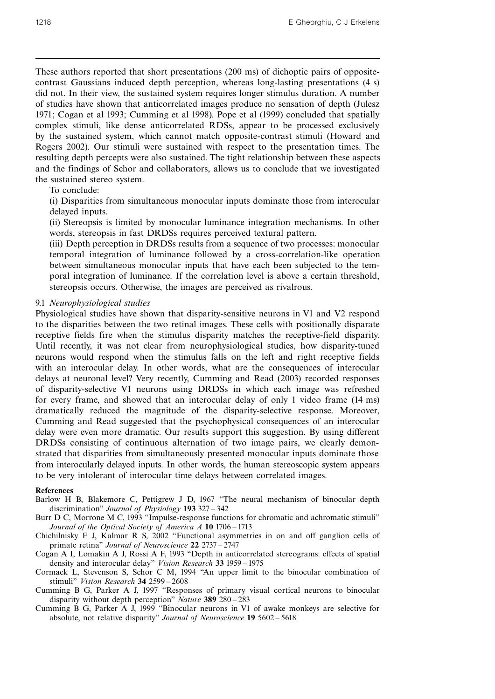These authors reported that short presentations (200 ms) of dichoptic pairs of oppositecontrast Gaussians induced depth perception, whereas long-lasting presentations (4 s) did not. In their view, the sustained system requires longer stimulus duration. A number of studies have shown that anticorrelated images produce no sensation of depth (Julesz 1971; Cogan et al 1993; Cumming et al 1998). Pope et al (1999) concluded that spatially complex stimuli, like dense anticorrelated RDSs, appear to be processed exclusively by the sustained system, which cannot match opposite-contrast stimuli (Howard and Rogers 2002). Our stimuli were sustained with respect to the presentation times. The resulting depth percepts were also sustained. The tight relationship between these aspects and the findings of Schor and collaborators, allows us to conclude that we investigated the sustained stereo system.

# To conclude:

(i) Disparities from simultaneous monocular inputs dominate those from interocular delayed inputs.

(ii) Stereopsis is limited by monocular luminance integration mechanisms. In other words, stereopsis in fast DRDSs requires perceived textural pattern.

(iii) Depth perception in DRDSs results from a sequence of two processes: monocular temporal integration of luminance followed by a cross-correlation-like operation between simultaneous monocular inputs that have each been subjected to the temporal integration of luminance. If the correlation level is above a certain threshold, stereopsis occurs. Otherwise, the images are perceived as rivalrous.

#### 9.1 Neurophysiological studies

Physiological studies have shown that disparity-sensitive neurons in V1 and V2 respond to the disparities between the two retinal images. These cells with positionally disparate receptive fields fire when the stimulus disparity matches the receptive-field disparity. Until recently, it was not clear from neurophysiological studies, how disparity-tuned neurons would respond when the stimulus falls on the left and right receptive fields with an interocular delay. In other words, what are the consequences of interocular delays at neuronal level? Very recently, Cumming and Read (2003) recorded responses of disparity-selective V1 neurons using DRDSs in which each image was refreshed for every frame, and showed that an interocular delay of only 1 video frame (14 ms) dramatically reduced the magnitude of the disparity-selective response. Moreover, Cumming and Read suggested that the psychophysical consequences of an interocular delay were even more dramatic. Our results support this suggestion. By using different DRDSs consisting of continuous alternation of two image pairs, we clearly demonstrated that disparities from simultaneously presented monocular inputs dominate those from interocularly delayed inputs. In other words, the human stereoscopic system appears to be very intolerant of interocular time delays between correlated images.

#### **References**

Barlow H B, Blakemore C, Pettigrew J D, 1967 "The neural mechanism of binocular depth discrimination" Journal of Physiology  $193\,327 - 342$ 

Burr D C, Morrone M C, 1993 "Impulse-response functions for chromatic and achromatic stimuli" Journal of the Optical Society of America  $A$  10 1706 - 1713

Chichilnisky E J, Kalmar R S, 2002 "Functional asymmetries in on and off ganglion cells of primate retina" Journal of Neuroscience 22 2737 - 2747

Cogan A I, Lomakin A J, Rossi A F, 1993 "Depth in anticorrelated stereograms: effects of spatial density and interocular delay" Vision Research 33 1959 - 1975

Cormack L, Stevenson S, Schor C M, 1994 "An upper limit to the binocular combination of stimuli" Vision Research 34 2599 - 2608

Cumming B G, Parker A J, 1997 "Responses of primary visual cortical neurons to binocular disparity without depth perception" Nature 389  $280 - 283$ 

Cumming B G, Parker A J, 1999  $\degree$ Binocular neurons in V1 of awake monkeys are selective for absolute, not relative disparity" Journal of Neuroscience 19 5602 - 5618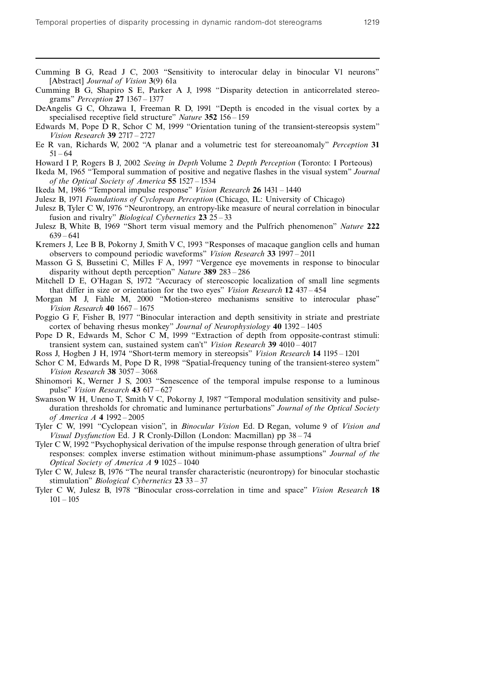- Cumming B G, Read J C, 2003 "Sensitivity to interocular delay in binocular V1 neurons" [Abstract] Journal of Vision 3(9) 61a
- Cumming B G, Shapiro S E, Parker A J, 1998 "Disparity detection in anticorrelated stereograms" *Perception* 27 1367 – 1377
- DeAngelis G C, Ohzawa I, Freeman R D, 1991 "Depth is encoded in the visual cortex by a specialised receptive field structure" Nature 352 156 - 159
- Edwards M, Pope D R, Schor C M, 1999 "Orientation tuning of the transient-stereopsis system" Vision Research 39 2717 - 2727
- Ee R van, Richards W, 2002 "A planar and a volumetric test for stereoanomaly" Perception 31  $51 - 64$
- Howard I P, Rogers B J, 2002 Seeing in Depth Volume 2 Depth Perception (Toronto: I Porteous)
- Ikeda M, 1965 "Temporal summation of positive and negative flashes in the visual system" Journal of the Optical Society of America 55 1527 ^ 1534
- Ikeda M, 1986 "Temporal impulse response" Vision Research 26 1431 1440
- Julesz B, 1971 Foundations of Cyclopean Perception (Chicago, IL: University of Chicago)
- Julesz B, Tyler C W, 1976 "Neurontropy, an entropy-like measure of neural correlation in binocular fusion and rivalry" *Biological Cybernetics*  $23 \, 25 - 33$
- Julesz B, White B, 1969 "Short term visual memory and the Pulfrich phenomenon" Nature 222  $639 - 641$
- Kremers J, Lee B B, Pokorny J, Smith V C, 1993 "Responses of macaque ganglion cells and human observers to compound periodic waveforms" Vision Research 33 1997 - 2011
- Masson G S, Bussetini C, Milles F A, 1997 "Vergence eye movements in response to binocular disparity without depth perception" Nature 389  $283 - 286$
- Mitchell D E, O'Hagan S, 1972 "Accuracy of stereoscopic localization of small line segments that differ in size or orientation for the two eyes" Vision Research 12 437 - 454
- Morgan M J, Fahle M, 2000 "Motion-stereo mechanisms sensitive to interocular phase" Vision Research  $40$  1667  $- 1675$
- Poggio G F, Fisher B, 1977 "Binocular interaction and depth sensitivity in striate and prestriate cortex of behaving rhesus monkey" Journal of Neurophysiology 40 1392 - 1405
- Pope D R, Edwards M, Schor C M, 1999 "Extraction of depth from opposite-contrast stimuli: transient system can, sustained system can't" Vision Research 39 4010 - 4017
- Ross J, Hogben J H, 1974 "Short-term memory in stereopsis" Vision Research 14 1195 1201
- Schor C M, Edwards M, Pope D R, 1998 "Spatial-frequency tuning of the transient-stereo system" Vision Research  $38 \frac{3057 - 3068}{ }$
- Shinomori K, Werner J S, 2003 "Senescence of the temporal impulse response to a luminous pulse" Vision Research  $43$  617 - 627
- Swanson W H, Uneno T, Smith V C, Pokorny J, 1987 "Temporal modulation sensitivity and pulseduration thresholds for chromatic and luminance perturbations" Journal of the Optical Society of America  $A$  4 1992 – 2005
- Tyler C W, 1991 "Cyclopean vision", in Binocular Vision Ed. D Regan, volume 9 of Vision and Visual Dysfunction Ed. J R Cronly-Dillon (London: Macmillan) pp 38 – 74
- Tyler C W, 1992 "Psychophysical derivation of the impulse response through generation of ultra brief responses: complex inverse estimation without minimum-phase assumptions'' Journal of the Optical Society of America  $A$  9 1025 – 1040
- Tyler C W, Julesz B, 1976 "The neural transfer characteristic (neurontropy) for binocular stochastic stimulation" *Biological Cybernetics*  $23 \cdot 33 - 37$
- Tyler C W, Julesz B, 1978 "Binocular cross-correlation in time and space" Vision Research 18  $101 - 105$